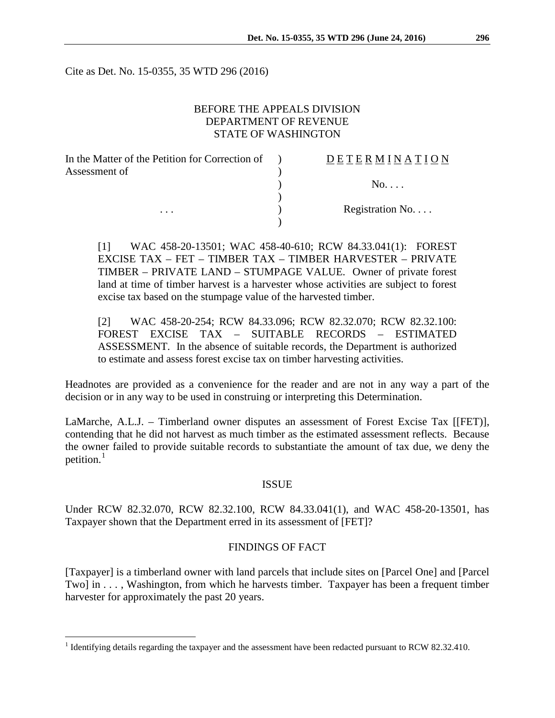Cite as Det. No. 15-0355, 35 WTD 296 (2016)

# BEFORE THE APPEALS DIVISION DEPARTMENT OF REVENUE STATE OF WASHINGTON

| In the Matter of the Petition for Correction of | <b>DETERMINATION</b> |
|-------------------------------------------------|----------------------|
| Assessment of                                   |                      |
|                                                 | $No. \ldots$         |
|                                                 |                      |
| $\cdots$                                        | Registration No.     |
|                                                 |                      |

[1] WAC 458-20-13501; WAC 458-40-610; RCW 84.33.041(1): FOREST EXCISE TAX – FET – TIMBER TAX – TIMBER HARVESTER – PRIVATE TIMBER – PRIVATE LAND – STUMPAGE VALUE. Owner of private forest land at time of timber harvest is a harvester whose activities are subject to forest excise tax based on the stumpage value of the harvested timber.

[2] WAC 458-20-254; RCW 84.33.096; RCW 82.32.070; RCW 82.32.100: FOREST EXCISE TAX – SUITABLE RECORDS – ESTIMATED ASSESSMENT. In the absence of suitable records, the Department is authorized to estimate and assess forest excise tax on timber harvesting activities.

Headnotes are provided as a convenience for the reader and are not in any way a part of the decision or in any way to be used in construing or interpreting this Determination.

LaMarche, A.L.J. – Timberland owner disputes an assessment of Forest Excise Tax [[FET)], contending that he did not harvest as much timber as the estimated assessment reflects. Because the owner failed to provide suitable records to substantiate the amount of tax due, we deny the petition.<sup>[1](#page-0-0)</sup>

### ISSUE

Under RCW 82.32.070, RCW 82.32.100, RCW 84.33.041(1), and WAC 458-20-13501, has Taxpayer shown that the Department erred in its assessment of [FET]?

#### FINDINGS OF FACT

[Taxpayer] is a timberland owner with land parcels that include sites on [Parcel One] and [Parcel Two] in . . . , Washington, from which he harvests timber. Taxpayer has been a frequent timber harvester for approximately the past 20 years.

<span id="page-0-0"></span><sup>&</sup>lt;sup>1</sup> Identifying details regarding the taxpayer and the assessment have been redacted pursuant to RCW 82.32.410.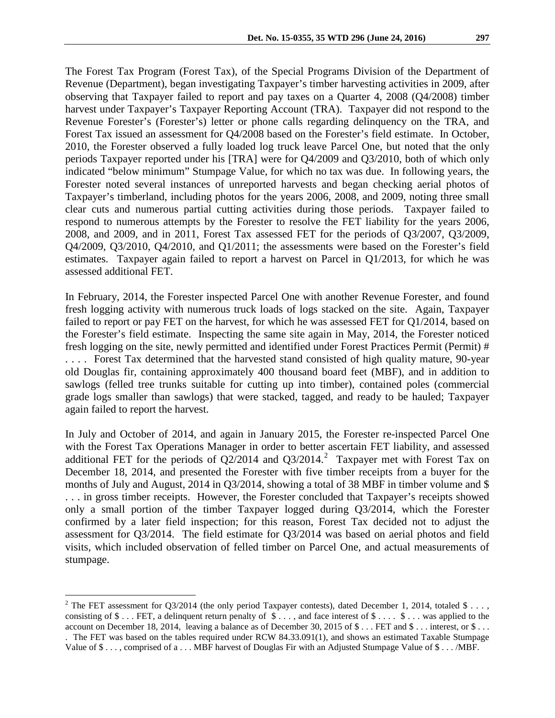The Forest Tax Program (Forest Tax), of the Special Programs Division of the Department of Revenue (Department), began investigating Taxpayer's timber harvesting activities in 2009, after observing that Taxpayer failed to report and pay taxes on a Quarter 4, 2008 (Q4/2008) timber harvest under Taxpayer's Taxpayer Reporting Account (TRA). Taxpayer did not respond to the Revenue Forester's (Forester's) letter or phone calls regarding delinquency on the TRA, and Forest Tax issued an assessment for Q4/2008 based on the Forester's field estimate. In October, 2010, the Forester observed a fully loaded log truck leave Parcel One, but noted that the only periods Taxpayer reported under his [TRA] were for Q4/2009 and Q3/2010, both of which only indicated "below minimum" Stumpage Value, for which no tax was due. In following years, the Forester noted several instances of unreported harvests and began checking aerial photos of Taxpayer's timberland, including photos for the years 2006, 2008, and 2009, noting three small clear cuts and numerous partial cutting activities during those periods. Taxpayer failed to respond to numerous attempts by the Forester to resolve the FET liability for the years 2006, 2008, and 2009, and in 2011, Forest Tax assessed FET for the periods of Q3/2007, Q3/2009, Q4/2009, Q3/2010, Q4/2010, and Q1/2011; the assessments were based on the Forester's field estimates. Taxpayer again failed to report a harvest on Parcel in Q1/2013, for which he was assessed additional FET.

In February, 2014, the Forester inspected Parcel One with another Revenue Forester, and found fresh logging activity with numerous truck loads of logs stacked on the site. Again, Taxpayer failed to report or pay FET on the harvest, for which he was assessed FET for Q1/2014, based on the Forester's field estimate. Inspecting the same site again in May, 2014, the Forester noticed fresh logging on the site, newly permitted and identified under Forest Practices Permit (Permit) # . . . . Forest Tax determined that the harvested stand consisted of high quality mature, 90-year old Douglas fir, containing approximately 400 thousand board feet (MBF), and in addition to sawlogs (felled tree trunks suitable for cutting up into timber), contained poles (commercial grade logs smaller than sawlogs) that were stacked, tagged, and ready to be hauled; Taxpayer again failed to report the harvest.

In July and October of 2014, and again in January 2015, the Forester re-inspected Parcel One with the Forest Tax Operations Manager in order to better ascertain FET liability, and assessed additional FET for the periods of  $Q2/2014$  $Q2/2014$  $Q2/2014$  and  $Q3/2014$ .<sup>2</sup> Taxpayer met with Forest Tax on December 18, 2014, and presented the Forester with five timber receipts from a buyer for the months of July and August, 2014 in Q3/2014, showing a total of 38 MBF in timber volume and \$ . . . in gross timber receipts. However, the Forester concluded that Taxpayer's receipts showed only a small portion of the timber Taxpayer logged during Q3/2014, which the Forester confirmed by a later field inspection; for this reason, Forest Tax decided not to adjust the assessment for Q3/2014. The field estimate for Q3/2014 was based on aerial photos and field visits, which included observation of felled timber on Parcel One, and actual measurements of stumpage.

<span id="page-1-0"></span><sup>&</sup>lt;sup>2</sup> The FET assessment for Q3/2014 (the only period Taxpayer contests), dated December 1, 2014, totaled \$ . . . , consisting of  $\$\dots$  FET, a delinquent return penalty of  $\$\dots$ , and face interest of  $\$\dots$   $\$\dots$  was applied to the account on December 18, 2014, leaving a balance as of December 30, 2015 of  $\$\dots$  FET and  $\$\dots$  interest, or  $\$\dots$ . The FET was based on the tables required under RCW 84.33.091(1), and shows an estimated Taxable Stumpage Value of \$ . . . , comprised of a . . . MBF harvest of Douglas Fir with an Adjusted Stumpage Value of \$ . . . /MBF.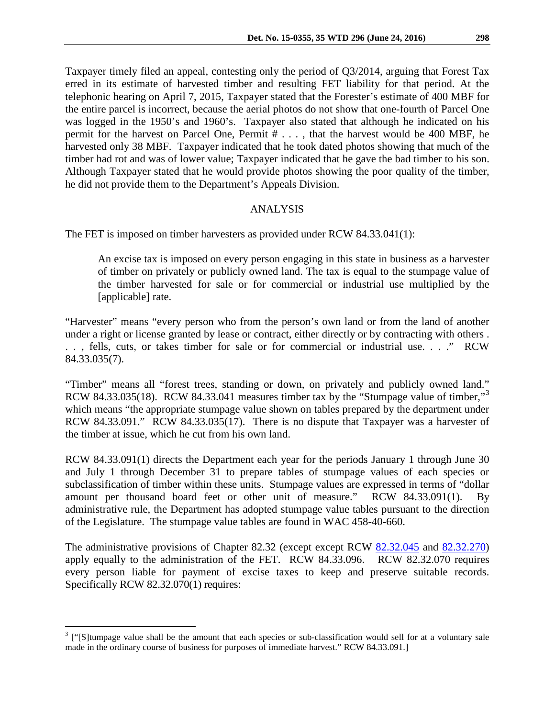Taxpayer timely filed an appeal, contesting only the period of Q3/2014, arguing that Forest Tax erred in its estimate of harvested timber and resulting FET liability for that period. At the telephonic hearing on April 7, 2015, Taxpayer stated that the Forester's estimate of 400 MBF for the entire parcel is incorrect, because the aerial photos do not show that one-fourth of Parcel One was logged in the 1950's and 1960's. Taxpayer also stated that although he indicated on his permit for the harvest on Parcel One, Permit # . . . , that the harvest would be 400 MBF, he harvested only 38 MBF. Taxpayer indicated that he took dated photos showing that much of the timber had rot and was of lower value; Taxpayer indicated that he gave the bad timber to his son. Although Taxpayer stated that he would provide photos showing the poor quality of the timber, he did not provide them to the Department's Appeals Division.

## ANALYSIS

The FET is imposed on timber harvesters as provided under RCW 84.33.041(1):

An excise tax is imposed on every person engaging in this state in business as a harvester of timber on privately or publicly owned land. The tax is equal to the stumpage value of the timber harvested for sale or for commercial or industrial use multiplied by the [applicable] rate.

"Harvester" means "every person who from the person's own land or from the land of another under a right or license granted by lease or contract, either directly or by contracting with others . . . , fells, cuts, or takes timber for sale or for commercial or industrial use. . . ." RCW 84.33.035(7).

"Timber" means all "forest trees, standing or down, on privately and publicly owned land." RCW 84.[3](#page-2-0)3.035(18). RCW 84.33.041 measures timber tax by the "Stumpage value of timber,"<sup>3</sup> which means "the appropriate stumpage value shown on tables prepared by the department under RCW 84.33.091." RCW 84.33.035(17). There is no dispute that Taxpayer was a harvester of the timber at issue, which he cut from his own land.

RCW 84.33.091(1) directs the Department each year for the periods January 1 through June 30 and July 1 through December 31 to prepare tables of stumpage values of each species or subclassification of timber within these units. Stumpage values are expressed in terms of "dollar amount per thousand board feet or other unit of measure." RCW 84.33.091(1). By administrative rule, the Department has adopted stumpage value tables pursuant to the direction of the Legislature. The stumpage value tables are found in WAC 458-40-660.

The administrative provisions of Chapter 82.32 (except except RCW [82.32.045](http://app.leg.wa.gov/RCW/default.aspx?cite=82.32.045) and [82.32.270\)](http://app.leg.wa.gov/RCW/default.aspx?cite=82.32.270) apply equally to the administration of the FET. RCW 84.33.096. RCW 82.32.070 requires every person liable for payment of excise taxes to keep and preserve suitable records. Specifically RCW 82.32.070(1) requires:

<span id="page-2-0"></span><sup>&</sup>lt;sup>3</sup> ["[S]tumpage value shall be the amount that each species or sub-classification would sell for at a voluntary sale made in the ordinary course of business for purposes of immediate harvest." RCW 84.33.091.]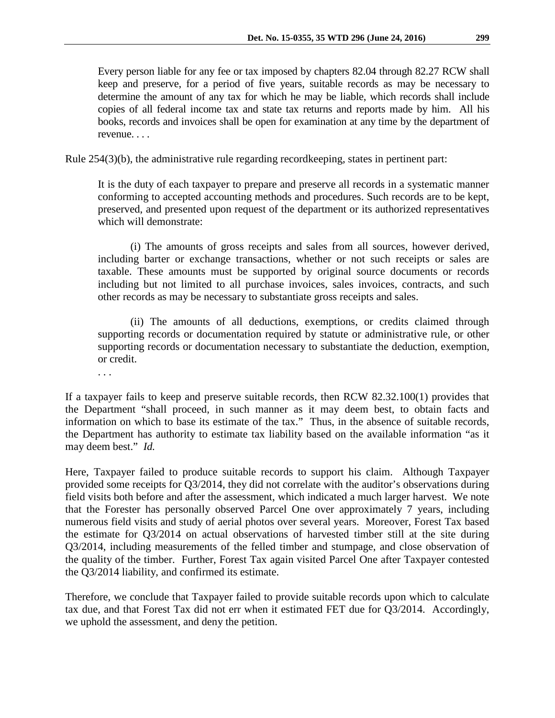Rule 254(3)(b), the administrative rule regarding recordkeeping, states in pertinent part:

It is the duty of each taxpayer to prepare and preserve all records in a systematic manner conforming to accepted accounting methods and procedures. Such records are to be kept, preserved, and presented upon request of the department or its authorized representatives which will demonstrate:

(i) The amounts of gross receipts and sales from all sources, however derived, including barter or exchange transactions, whether or not such receipts or sales are taxable. These amounts must be supported by original source documents or records including but not limited to all purchase invoices, sales invoices, contracts, and such other records as may be necessary to substantiate gross receipts and sales.

(ii) The amounts of all deductions, exemptions, or credits claimed through supporting records or documentation required by statute or administrative rule, or other supporting records or documentation necessary to substantiate the deduction, exemption, or credit.

. . .

If a taxpayer fails to keep and preserve suitable records, then RCW 82.32.100(1) provides that the Department "shall proceed, in such manner as it may deem best, to obtain facts and information on which to base its estimate of the tax." Thus, in the absence of suitable records, the Department has authority to estimate tax liability based on the available information "as it may deem best." *Id.*

Here, Taxpayer failed to produce suitable records to support his claim. Although Taxpayer provided some receipts for Q3/2014, they did not correlate with the auditor's observations during field visits both before and after the assessment, which indicated a much larger harvest. We note that the Forester has personally observed Parcel One over approximately 7 years, including numerous field visits and study of aerial photos over several years. Moreover, Forest Tax based the estimate for Q3/2014 on actual observations of harvested timber still at the site during Q3/2014, including measurements of the felled timber and stumpage, and close observation of the quality of the timber. Further, Forest Tax again visited Parcel One after Taxpayer contested the Q3/2014 liability, and confirmed its estimate.

Therefore, we conclude that Taxpayer failed to provide suitable records upon which to calculate tax due, and that Forest Tax did not err when it estimated FET due for Q3/2014. Accordingly, we uphold the assessment, and deny the petition.